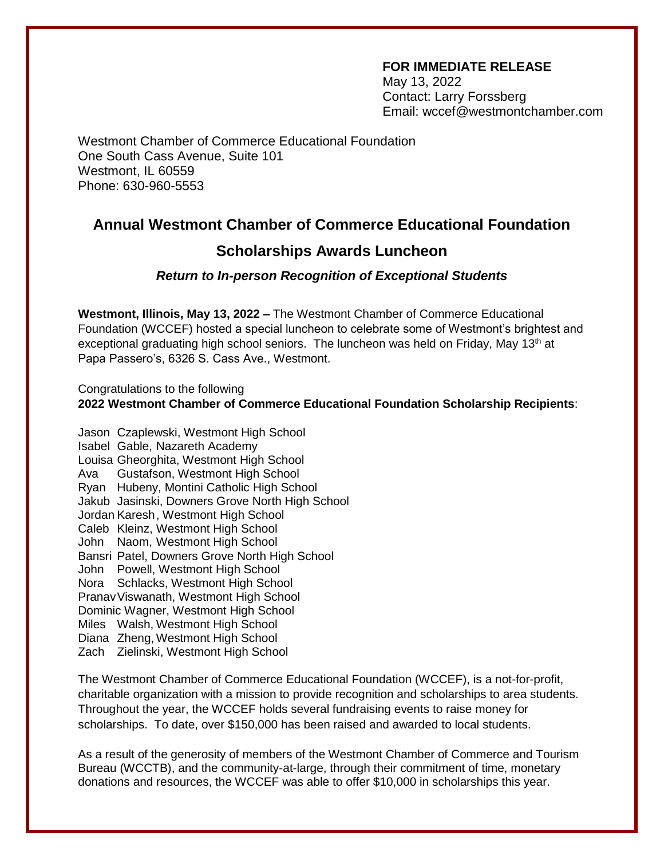## **FOR IMMEDIATE RELEASE**

May 13, 2022 Contact: Larry Forssberg Email: wccef@westmontchamber.com

Westmont Chamber of Commerce Educational Foundation One South Cass Avenue, Suite 101 Westmont, IL 60559 Phone: 630-960-5553

## **Annual Westmont Chamber of Commerce Educational Foundation**

## **Scholarships Awards Luncheon**

## *Return to In-person Recognition of Exceptional Students*

**Westmont, Illinois, May 13, 2022 –** The Westmont Chamber of Commerce Educational Foundation (WCCEF) hosted a special luncheon to celebrate some of Westmont's brightest and exceptional graduating high school seniors. The luncheon was held on Friday, May 13<sup>th</sup> at Papa Passero's, 6326 S. Cass Ave., Westmont.

Congratulations to the following **2022 Westmont Chamber of Commerce Educational Foundation Scholarship Recipients**:

Jason Czaplewski, Westmont High School Isabel Gable, Nazareth Academy Louisa Gheorghita, Westmont High School Ava Gustafson, Westmont High School Ryan Hubeny, Montini Catholic High School Jakub Jasinski, Downers Grove North High School Jordan Karesh, Westmont High School Caleb Kleinz, Westmont High School John Naom, Westmont High School Bansri Patel, Downers Grove North High School John Powell, Westmont High School Nora Schlacks, Westmont High School PranavViswanath, Westmont High School Dominic Wagner, Westmont High School Miles Walsh, Westmont High School Diana Zheng, Westmont High School Zach Zielinski, Westmont High School

The Westmont Chamber of Commerce Educational Foundation (WCCEF), is a not-for-profit, charitable organization with a mission to provide recognition and scholarships to area students. Throughout the year, the WCCEF holds several fundraising events to raise money for scholarships. To date, over \$150,000 has been raised and awarded to local students.

As a result of the generosity of members of the Westmont Chamber of Commerce and Tourism Bureau (WCCTB), and the community-at-large, through their commitment of time, monetary donations and resources, the WCCEF was able to offer \$10,000 in scholarships this year.